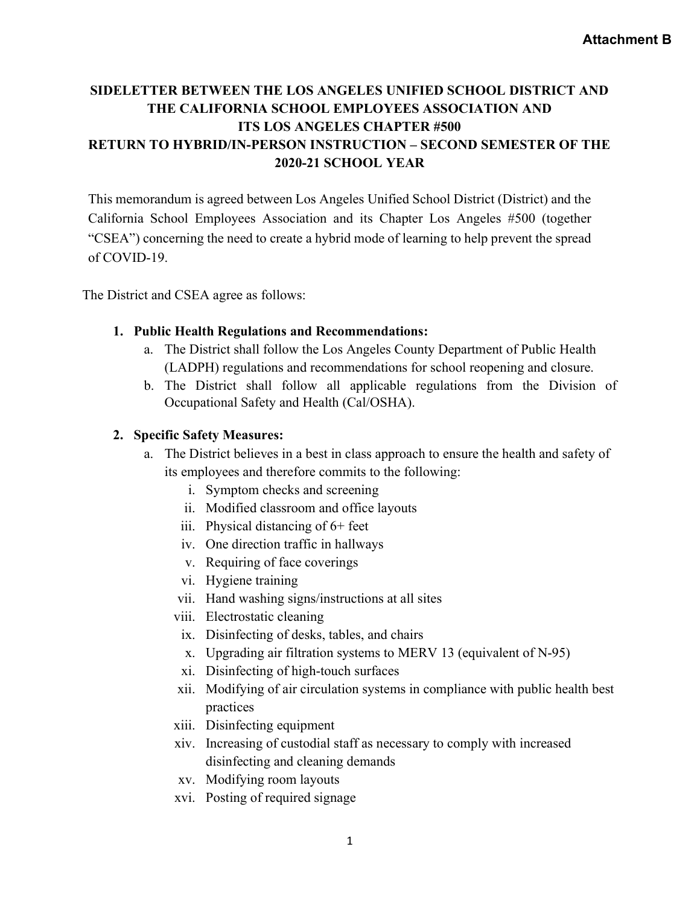# SIDELETTER BETWEEN THE LOS ANGELES UNIFIED SCHOOL DISTRICT AND THE CALIFORNIA SCHOOL EMPLOYEES ASSOCIATION AND ITS LOS ANGELES CHAPTER #500 RETURN TO HYBRID/IN-PERSON INSTRUCTION – SECOND SEMESTER OF THE 2020-21 SCHOOL YEAR

This memorandum is agreed between Los Angeles Unified School District (District) and the California School Employees Association and its Chapter Los Angeles #500 (together "CSEA") concerning the need to create a hybrid mode of learning to help prevent the spread of COVID-19.

The District and CSEA agree as follows:

#### 1. Public Health Regulations and Recommendations:

- a. The District shall follow the Los Angeles County Department of Public Health (LADPH) regulations and recommendations for school reopening and closure.
- b. The District shall follow all applicable regulations from the Division of Occupational Safety and Health (Cal/OSHA).

#### 2. Specific Safety Measures:

- a. The District believes in a best in class approach to ensure the health and safety of its employees and therefore commits to the following:
	- i. Symptom checks and screening
	- ii. Modified classroom and office layouts
	- iii. Physical distancing of 6+ feet
	- iv. One direction traffic in hallways
	- v. Requiring of face coverings
	- vi. Hygiene training
	- vii. Hand washing signs/instructions at all sites
	- viii. Electrostatic cleaning
		- ix. Disinfecting of desks, tables, and chairs
		- x. Upgrading air filtration systems to MERV 13 (equivalent of N-95)
		- xi. Disinfecting of high-touch surfaces
	- xii. Modifying of air circulation systems in compliance with public health best practices
	- xiii. Disinfecting equipment
	- xiv. Increasing of custodial staff as necessary to comply with increased disinfecting and cleaning demands
	- xv. Modifying room layouts
	- xvi. Posting of required signage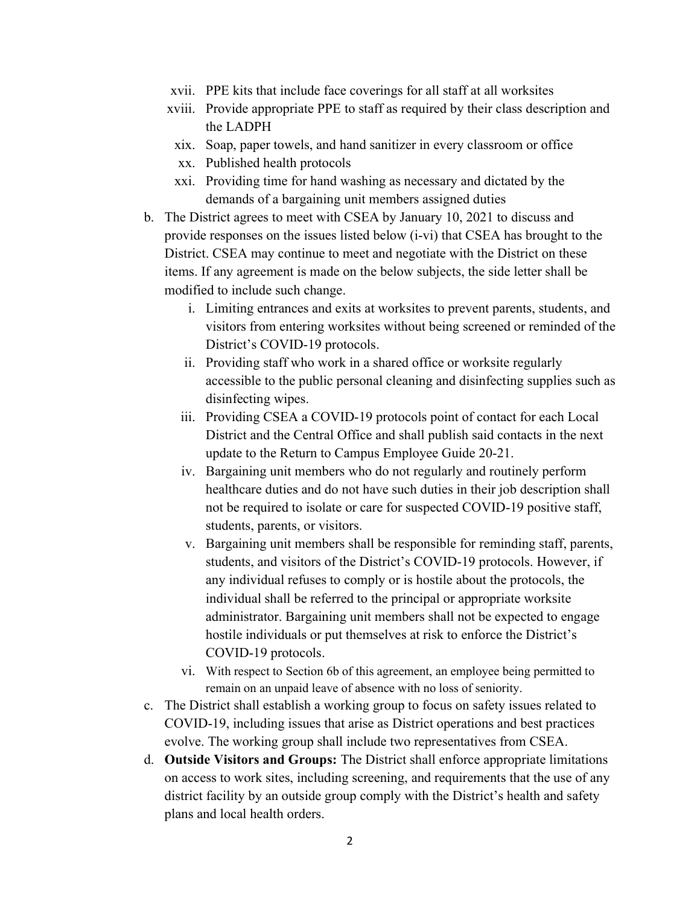- xvii. PPE kits that include face coverings for all staff at all worksites
- xviii. Provide appropriate PPE to staff as required by their class description and the LADPH
- xix. Soap, paper towels, and hand sanitizer in every classroom or office
- xx. Published health protocols
- xxi. Providing time for hand washing as necessary and dictated by the demands of a bargaining unit members assigned duties
- b. The District agrees to meet with CSEA by January 10, 2021 to discuss and provide responses on the issues listed below (i-vi) that CSEA has brought to the District. CSEA may continue to meet and negotiate with the District on these items. If any agreement is made on the below subjects, the side letter shall be modified to include such change.
	- i. Limiting entrances and exits at worksites to prevent parents, students, and visitors from entering worksites without being screened or reminded of the District's COVID-19 protocols.
	- ii. Providing staff who work in a shared office or worksite regularly accessible to the public personal cleaning and disinfecting supplies such as disinfecting wipes.
	- iii. Providing CSEA a COVID-19 protocols point of contact for each Local District and the Central Office and shall publish said contacts in the next update to the Return to Campus Employee Guide 20-21.
	- iv. Bargaining unit members who do not regularly and routinely perform healthcare duties and do not have such duties in their job description shall not be required to isolate or care for suspected COVID-19 positive staff, students, parents, or visitors.
	- v. Bargaining unit members shall be responsible for reminding staff, parents, students, and visitors of the District's COVID-19 protocols. However, if any individual refuses to comply or is hostile about the protocols, the individual shall be referred to the principal or appropriate worksite administrator. Bargaining unit members shall not be expected to engage hostile individuals or put themselves at risk to enforce the District's COVID-19 protocols.
	- vi. With respect to Section 6b of this agreement, an employee being permitted to remain on an unpaid leave of absence with no loss of seniority.
- c. The District shall establish a working group to focus on safety issues related to COVID-19, including issues that arise as District operations and best practices evolve. The working group shall include two representatives from CSEA.
- d. Outside Visitors and Groups: The District shall enforce appropriate limitations on access to work sites, including screening, and requirements that the use of any district facility by an outside group comply with the District's health and safety plans and local health orders.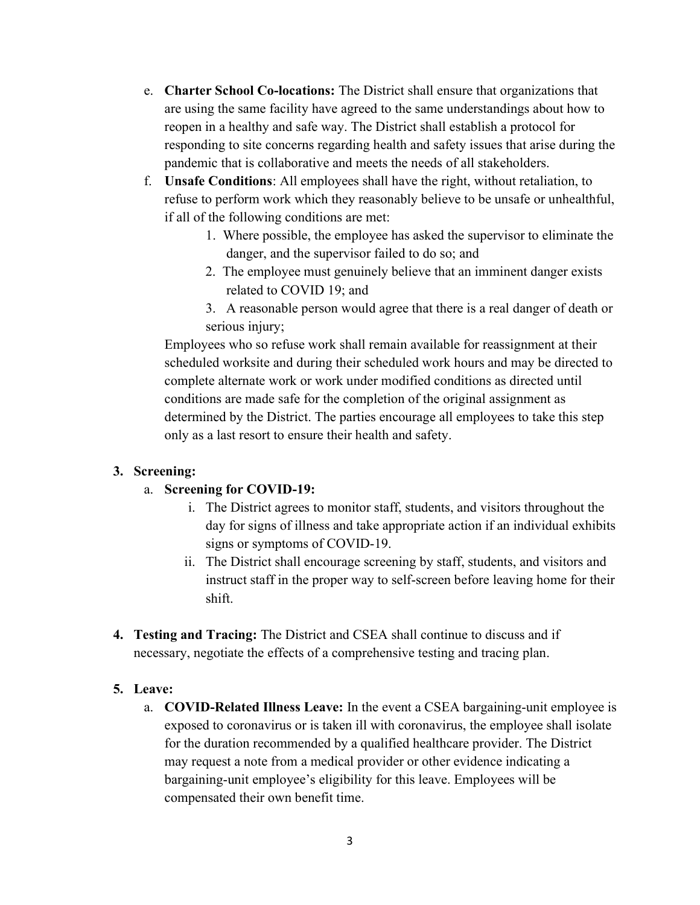- e. Charter School Co-locations: The District shall ensure that organizations that are using the same facility have agreed to the same understandings about how to reopen in a healthy and safe way. The District shall establish a protocol for responding to site concerns regarding health and safety issues that arise during the pandemic that is collaborative and meets the needs of all stakeholders.
- f. Unsafe Conditions: All employees shall have the right, without retaliation, to refuse to perform work which they reasonably believe to be unsafe or unhealthful, if all of the following conditions are met:
	- 1. Where possible, the employee has asked the supervisor to eliminate the danger, and the supervisor failed to do so; and
	- 2. The employee must genuinely believe that an imminent danger exists related to COVID 19; and
	- 3. A reasonable person would agree that there is a real danger of death or serious injury;

Employees who so refuse work shall remain available for reassignment at their scheduled worksite and during their scheduled work hours and may be directed to complete alternate work or work under modified conditions as directed until conditions are made safe for the completion of the original assignment as determined by the District. The parties encourage all employees to take this step only as a last resort to ensure their health and safety.

### 3. Screening:

#### a. Screening for COVID-19:

- i. The District agrees to monitor staff, students, and visitors throughout the day for signs of illness and take appropriate action if an individual exhibits signs or symptoms of COVID-19.
- ii. The District shall encourage screening by staff, students, and visitors and instruct staff in the proper way to self-screen before leaving home for their shift.
- 4. Testing and Tracing: The District and CSEA shall continue to discuss and if necessary, negotiate the effects of a comprehensive testing and tracing plan.

#### 5. Leave:

a. COVID-Related Illness Leave: In the event a CSEA bargaining-unit employee is exposed to coronavirus or is taken ill with coronavirus, the employee shall isolate for the duration recommended by a qualified healthcare provider. The District may request a note from a medical provider or other evidence indicating a bargaining-unit employee's eligibility for this leave. Employees will be compensated their own benefit time.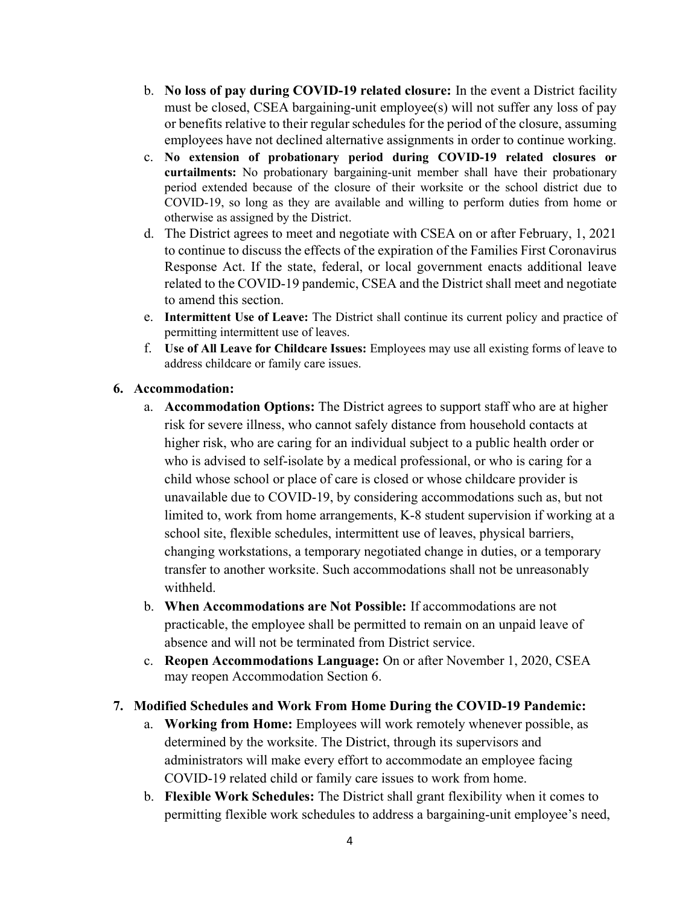- b. No loss of pay during COVID-19 related closure: In the event a District facility must be closed, CSEA bargaining-unit employee(s) will not suffer any loss of pay or benefits relative to their regular schedules for the period of the closure, assuming employees have not declined alternative assignments in order to continue working.
- c. No extension of probationary period during COVID-19 related closures or curtailments: No probationary bargaining-unit member shall have their probationary period extended because of the closure of their worksite or the school district due to COVID-19, so long as they are available and willing to perform duties from home or otherwise as assigned by the District.
- d. The District agrees to meet and negotiate with CSEA on or after February, 1, 2021 to continue to discuss the effects of the expiration of the Families First Coronavirus Response Act. If the state, federal, or local government enacts additional leave related to the COVID-19 pandemic, CSEA and the District shall meet and negotiate to amend this section.
- e. Intermittent Use of Leave: The District shall continue its current policy and practice of permitting intermittent use of leaves.
- f. Use of All Leave for Childcare Issues: Employees may use all existing forms of leave to address childcare or family care issues.

#### 6. Accommodation:

- a. Accommodation Options: The District agrees to support staff who are at higher risk for severe illness, who cannot safely distance from household contacts at higher risk, who are caring for an individual subject to a public health order or who is advised to self-isolate by a medical professional, or who is caring for a child whose school or place of care is closed or whose childcare provider is unavailable due to COVID-19, by considering accommodations such as, but not limited to, work from home arrangements, K-8 student supervision if working at a school site, flexible schedules, intermittent use of leaves, physical barriers, changing workstations, a temporary negotiated change in duties, or a temporary transfer to another worksite. Such accommodations shall not be unreasonably withheld.
- b. When Accommodations are Not Possible: If accommodations are not practicable, the employee shall be permitted to remain on an unpaid leave of absence and will not be terminated from District service.
- c. Reopen Accommodations Language: On or after November 1, 2020, CSEA may reopen Accommodation Section 6.

#### 7. Modified Schedules and Work From Home During the COVID-19 Pandemic:

- a. Working from Home: Employees will work remotely whenever possible, as determined by the worksite. The District, through its supervisors and administrators will make every effort to accommodate an employee facing COVID-19 related child or family care issues to work from home.
- b. Flexible Work Schedules: The District shall grant flexibility when it comes to permitting flexible work schedules to address a bargaining-unit employee's need,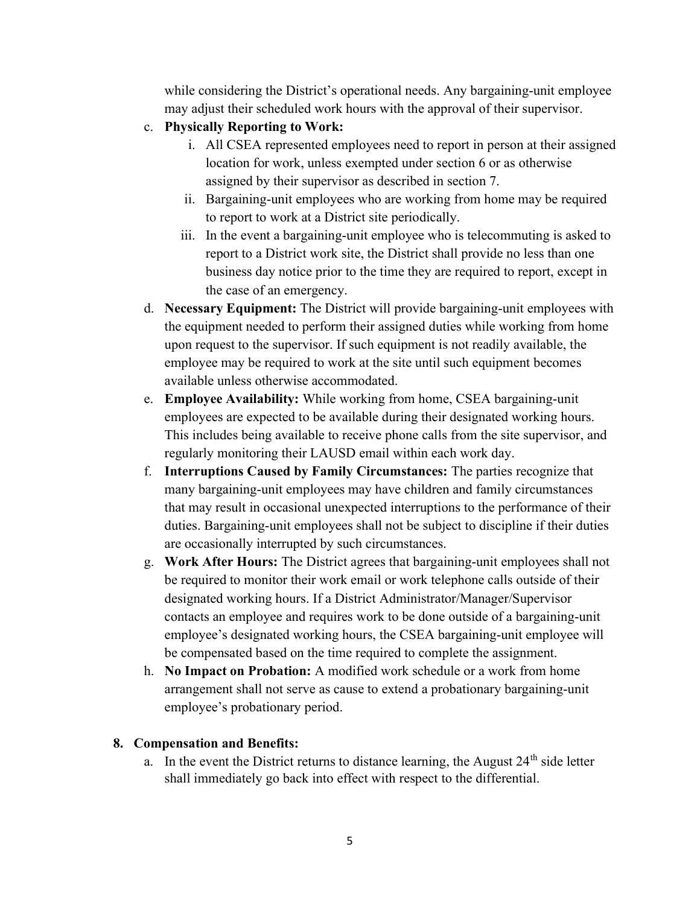while considering the District's operational needs. Any bargaining-unit employee may adjust their scheduled work hours with the approval of their supervisor.

- c. Physically Reporting to Work:
	- i. All CSEA represented employees need to report in person at their assigned location for work, unless exempted under section 6 or as otherwise assigned by their supervisor as described in section 7.
	- ii. Bargaining-unit employees who are working from home may be required to report to work at a District site periodically.
	- iii. In the event a bargaining-unit employee who is telecommuting is asked to report to a District work site, the District shall provide no less than one business day notice prior to the time they are required to report, except in the case of an emergency.
- d. Necessary Equipment: The District will provide bargaining-unit employees with the equipment needed to perform their assigned duties while working from home upon request to the supervisor. If such equipment is not readily available, the employee may be required to work at the site until such equipment becomes available unless otherwise accommodated.
- e. Employee Availability: While working from home, CSEA bargaining-unit employees are expected to be available during their designated working hours. This includes being available to receive phone calls from the site supervisor, and regularly monitoring their LAUSD email within each work day.
- f. Interruptions Caused by Family Circumstances: The parties recognize that many bargaining-unit employees may have children and family circumstances that may result in occasional unexpected interruptions to the performance of their duties. Bargaining-unit employees shall not be subject to discipline if their duties are occasionally interrupted by such circumstances.
- g. Work After Hours: The District agrees that bargaining-unit employees shall not be required to monitor their work email or work telephone calls outside of their designated working hours. If a District Administrator/Manager/Supervisor contacts an employee and requires work to be done outside of a bargaining-unit employee's designated working hours, the CSEA bargaining-unit employee will be compensated based on the time required to complete the assignment.
- h. No Impact on Probation: A modified work schedule or a work from home arrangement shall not serve as cause to extend a probationary bargaining-unit employee's probationary period.

## 8. Compensation and Benefits:

a. In the event the District returns to distance learning, the August  $24<sup>th</sup>$  side letter shall immediately go back into effect with respect to the differential.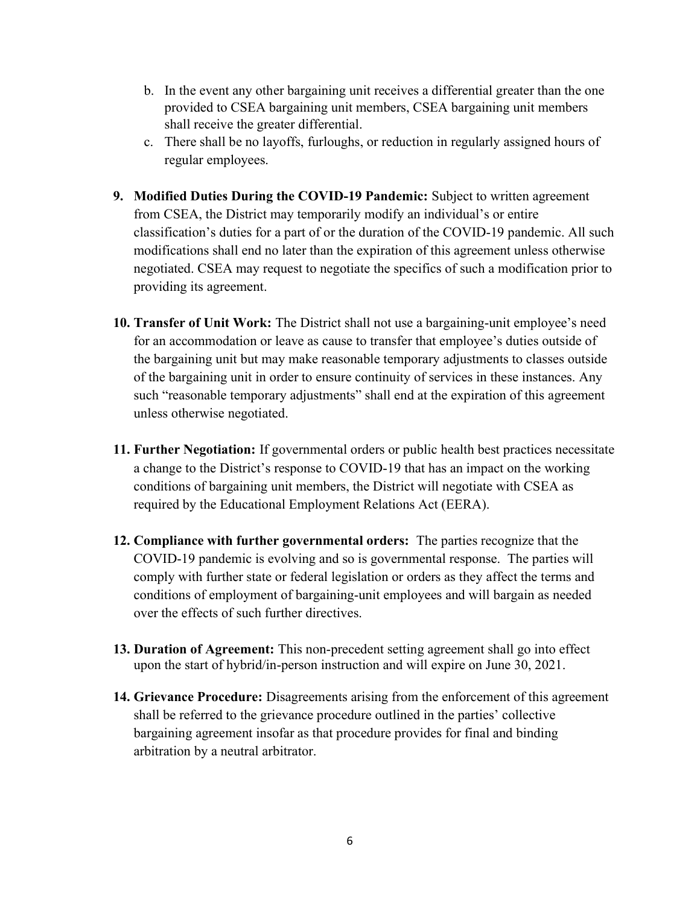- b. In the event any other bargaining unit receives a differential greater than the one provided to CSEA bargaining unit members, CSEA bargaining unit members shall receive the greater differential.
- c. There shall be no layoffs, furloughs, or reduction in regularly assigned hours of regular employees.
- 9. Modified Duties During the COVID-19 Pandemic: Subject to written agreement from CSEA, the District may temporarily modify an individual's or entire classification's duties for a part of or the duration of the COVID-19 pandemic. All such modifications shall end no later than the expiration of this agreement unless otherwise negotiated. CSEA may request to negotiate the specifics of such a modification prior to providing its agreement.
- 10. Transfer of Unit Work: The District shall not use a bargaining-unit employee's need for an accommodation or leave as cause to transfer that employee's duties outside of the bargaining unit but may make reasonable temporary adjustments to classes outside of the bargaining unit in order to ensure continuity of services in these instances. Any such "reasonable temporary adjustments" shall end at the expiration of this agreement unless otherwise negotiated.
- 11. Further Negotiation: If governmental orders or public health best practices necessitate a change to the District's response to COVID-19 that has an impact on the working conditions of bargaining unit members, the District will negotiate with CSEA as required by the Educational Employment Relations Act (EERA).
- 12. Compliance with further governmental orders: The parties recognize that the COVID-19 pandemic is evolving and so is governmental response. The parties will comply with further state or federal legislation or orders as they affect the terms and conditions of employment of bargaining-unit employees and will bargain as needed over the effects of such further directives.
- 13. Duration of Agreement: This non-precedent setting agreement shall go into effect upon the start of hybrid/in-person instruction and will expire on June 30, 2021.
- 14. Grievance Procedure: Disagreements arising from the enforcement of this agreement shall be referred to the grievance procedure outlined in the parties' collective bargaining agreement insofar as that procedure provides for final and binding arbitration by a neutral arbitrator.